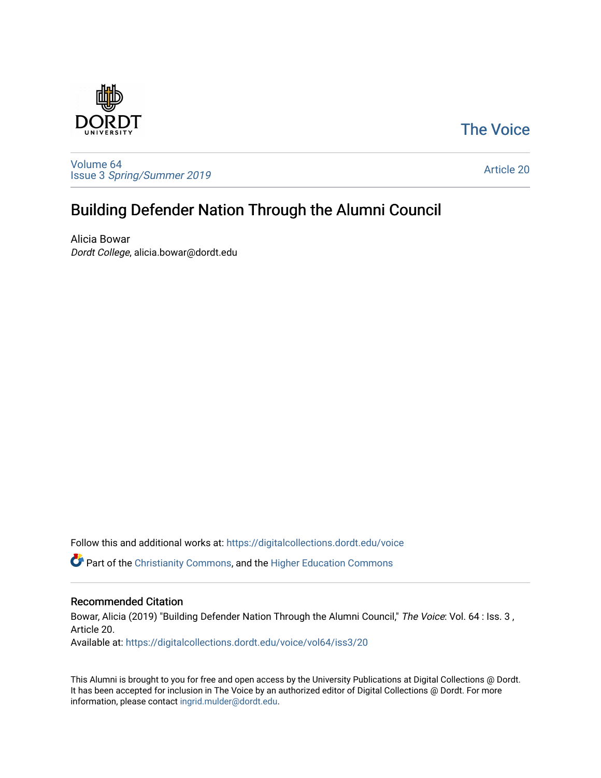### [The Voice](https://digitalcollections.dordt.edu/voice)

[Volume 64](https://digitalcollections.dordt.edu/voice/vol64) Issue 3 [Spring/Summer 2019](https://digitalcollections.dordt.edu/voice/vol64/iss3) 

[Article 20](https://digitalcollections.dordt.edu/voice/vol64/iss3/20) 

## Building Defender Nation Through the Alumni Council

Alicia Bowar Dordt College, alicia.bowar@dordt.edu

Follow this and additional works at: [https://digitalcollections.dordt.edu/voice](https://digitalcollections.dordt.edu/voice?utm_source=digitalcollections.dordt.edu%2Fvoice%2Fvol64%2Fiss3%2F20&utm_medium=PDF&utm_campaign=PDFCoverPages) 

Part of the [Christianity Commons,](http://network.bepress.com/hgg/discipline/1181?utm_source=digitalcollections.dordt.edu%2Fvoice%2Fvol64%2Fiss3%2F20&utm_medium=PDF&utm_campaign=PDFCoverPages) and the [Higher Education Commons](http://network.bepress.com/hgg/discipline/1245?utm_source=digitalcollections.dordt.edu%2Fvoice%2Fvol64%2Fiss3%2F20&utm_medium=PDF&utm_campaign=PDFCoverPages) 

#### Recommended Citation

Bowar, Alicia (2019) "Building Defender Nation Through the Alumni Council," The Voice: Vol. 64 : Iss. 3, Article 20.

Available at: [https://digitalcollections.dordt.edu/voice/vol64/iss3/20](https://digitalcollections.dordt.edu/voice/vol64/iss3/20?utm_source=digitalcollections.dordt.edu%2Fvoice%2Fvol64%2Fiss3%2F20&utm_medium=PDF&utm_campaign=PDFCoverPages)

This Alumni is brought to you for free and open access by the University Publications at Digital Collections @ Dordt. It has been accepted for inclusion in The Voice by an authorized editor of Digital Collections @ Dordt. For more information, please contact [ingrid.mulder@dordt.edu.](mailto:ingrid.mulder@dordt.edu)